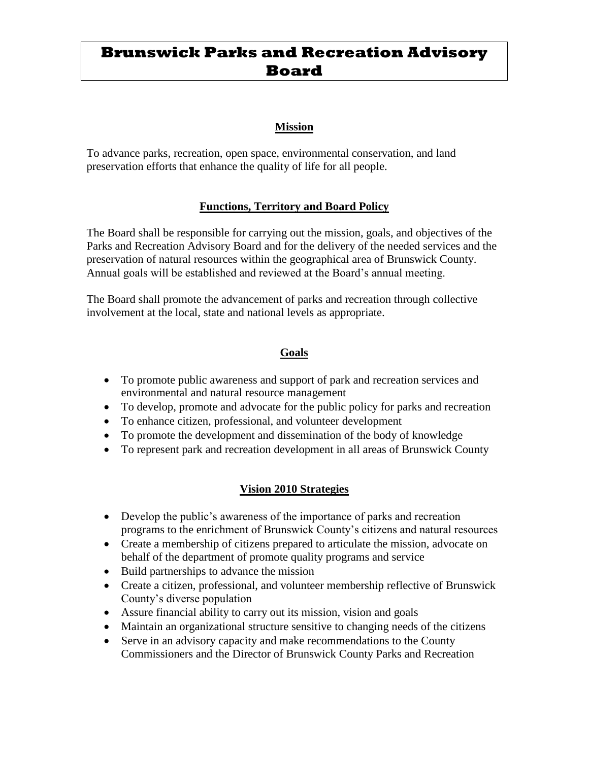# **Brunswick Parks and Recreation Advisory Board**

## **Mission**

To advance parks, recreation, open space, environmental conservation, and land preservation efforts that enhance the quality of life for all people.

## **Functions, Territory and Board Policy**

The Board shall be responsible for carrying out the mission, goals, and objectives of the Parks and Recreation Advisory Board and for the delivery of the needed services and the preservation of natural resources within the geographical area of Brunswick County. Annual goals will be established and reviewed at the Board's annual meeting.

The Board shall promote the advancement of parks and recreation through collective involvement at the local, state and national levels as appropriate.

## **Goals**

- To promote public awareness and support of park and recreation services and environmental and natural resource management
- To develop, promote and advocate for the public policy for parks and recreation
- To enhance citizen, professional, and volunteer development
- To promote the development and dissemination of the body of knowledge
- To represent park and recreation development in all areas of Brunswick County

## **Vision 2010 Strategies**

- Develop the public's awareness of the importance of parks and recreation programs to the enrichment of Brunswick County's citizens and natural resources
- Create a membership of citizens prepared to articulate the mission, advocate on behalf of the department of promote quality programs and service
- Build partnerships to advance the mission
- Create a citizen, professional, and volunteer membership reflective of Brunswick County's diverse population
- Assure financial ability to carry out its mission, vision and goals
- Maintain an organizational structure sensitive to changing needs of the citizens
- Serve in an advisory capacity and make recommendations to the County Commissioners and the Director of Brunswick County Parks and Recreation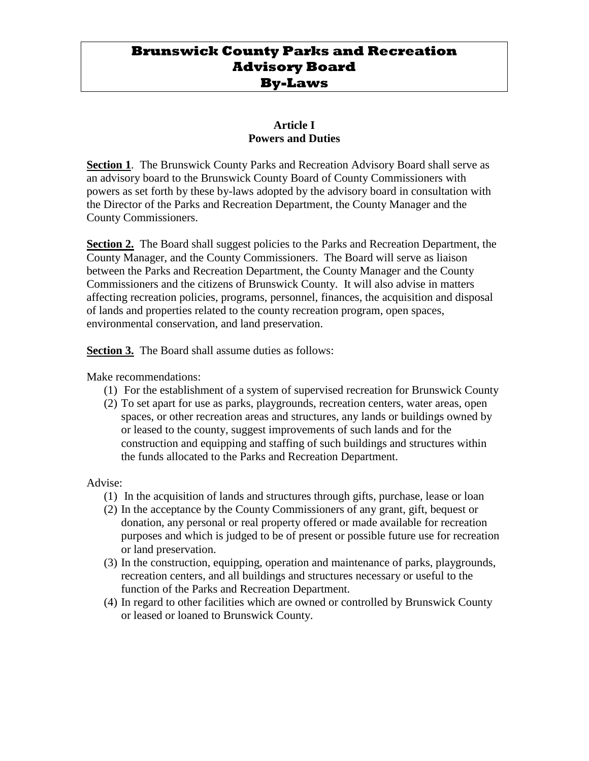## **Brunswick County Parks and Recreation Advisory Board By-Laws**

#### **Article I Powers and Duties**

**Section 1**. The Brunswick County Parks and Recreation Advisory Board shall serve as an advisory board to the Brunswick County Board of County Commissioners with powers as set forth by these by-laws adopted by the advisory board in consultation with the Director of the Parks and Recreation Department, the County Manager and the County Commissioners.

**Section 2.** The Board shall suggest policies to the Parks and Recreation Department, the County Manager, and the County Commissioners. The Board will serve as liaison between the Parks and Recreation Department, the County Manager and the County Commissioners and the citizens of Brunswick County. It will also advise in matters affecting recreation policies, programs, personnel, finances, the acquisition and disposal of lands and properties related to the county recreation program, open spaces, environmental conservation, and land preservation.

**Section 3.** The Board shall assume duties as follows:

Make recommendations:

- (1) For the establishment of a system of supervised recreation for Brunswick County
- (2) To set apart for use as parks, playgrounds, recreation centers, water areas, open spaces, or other recreation areas and structures, any lands or buildings owned by or leased to the county, suggest improvements of such lands and for the construction and equipping and staffing of such buildings and structures within the funds allocated to the Parks and Recreation Department.

Advise:

- (1) In the acquisition of lands and structures through gifts, purchase, lease or loan
- (2) In the acceptance by the County Commissioners of any grant, gift, bequest or donation, any personal or real property offered or made available for recreation purposes and which is judged to be of present or possible future use for recreation or land preservation.
- (3) In the construction, equipping, operation and maintenance of parks, playgrounds, recreation centers, and all buildings and structures necessary or useful to the function of the Parks and Recreation Department.
- (4) In regard to other facilities which are owned or controlled by Brunswick County or leased or loaned to Brunswick County.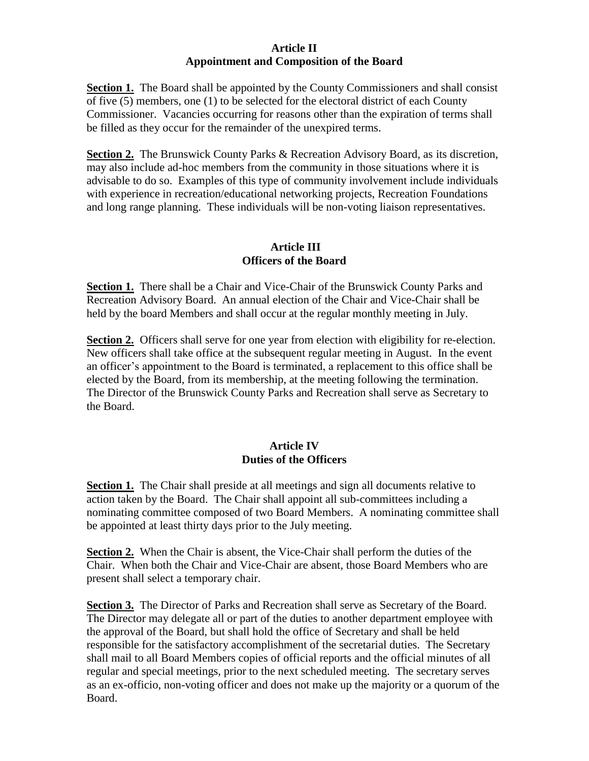#### **Article II Appointment and Composition of the Board**

**Section 1.** The Board shall be appointed by the County Commissioners and shall consist of five (5) members, one (1) to be selected for the electoral district of each County Commissioner. Vacancies occurring for reasons other than the expiration of terms shall be filled as they occur for the remainder of the unexpired terms.

**Section 2.** The Brunswick County Parks & Recreation Advisory Board, as its discretion, may also include ad-hoc members from the community in those situations where it is advisable to do so. Examples of this type of community involvement include individuals with experience in recreation/educational networking projects, Recreation Foundations and long range planning. These individuals will be non-voting liaison representatives.

## **Article III Officers of the Board**

**Section 1.** There shall be a Chair and Vice-Chair of the Brunswick County Parks and Recreation Advisory Board. An annual election of the Chair and Vice-Chair shall be held by the board Members and shall occur at the regular monthly meeting in July.

**Section 2.** Officers shall serve for one year from election with eligibility for re-election. New officers shall take office at the subsequent regular meeting in August. In the event an officer's appointment to the Board is terminated, a replacement to this office shall be elected by the Board, from its membership, at the meeting following the termination. The Director of the Brunswick County Parks and Recreation shall serve as Secretary to the Board.

## **Article IV Duties of the Officers**

**Section 1.** The Chair shall preside at all meetings and sign all documents relative to action taken by the Board. The Chair shall appoint all sub-committees including a nominating committee composed of two Board Members. A nominating committee shall be appointed at least thirty days prior to the July meeting.

**Section 2.** When the Chair is absent, the Vice-Chair shall perform the duties of the Chair. When both the Chair and Vice-Chair are absent, those Board Members who are present shall select a temporary chair.

Section 3. The Director of Parks and Recreation shall serve as Secretary of the Board. The Director may delegate all or part of the duties to another department employee with the approval of the Board, but shall hold the office of Secretary and shall be held responsible for the satisfactory accomplishment of the secretarial duties. The Secretary shall mail to all Board Members copies of official reports and the official minutes of all regular and special meetings, prior to the next scheduled meeting. The secretary serves as an ex-officio, non-voting officer and does not make up the majority or a quorum of the Board.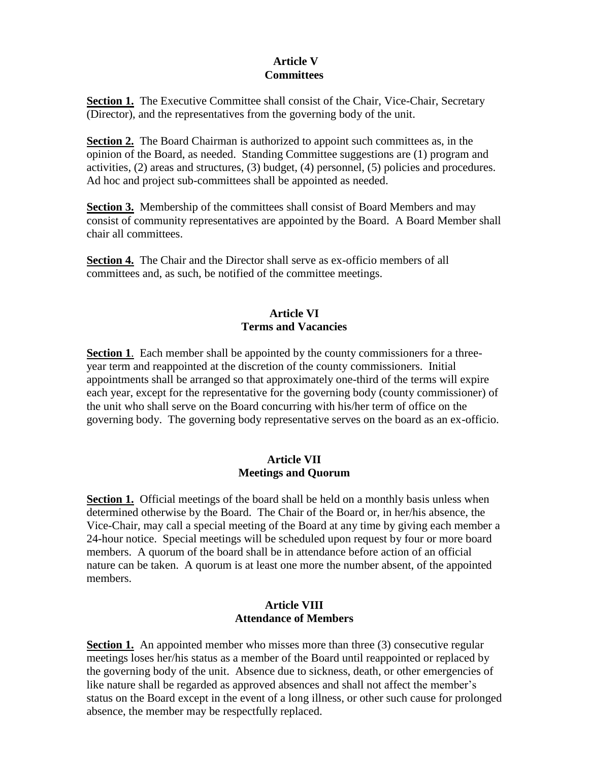#### **Article V Committees**

**Section 1.** The Executive Committee shall consist of the Chair, Vice-Chair, Secretary (Director), and the representatives from the governing body of the unit.

**Section 2.** The Board Chairman is authorized to appoint such committees as, in the opinion of the Board, as needed. Standing Committee suggestions are (1) program and activities, (2) areas and structures, (3) budget, (4) personnel, (5) policies and procedures. Ad hoc and project sub-committees shall be appointed as needed.

**Section 3.** Membership of the committees shall consist of Board Members and may consist of community representatives are appointed by the Board. A Board Member shall chair all committees.

**Section 4.** The Chair and the Director shall serve as ex-officio members of all committees and, as such, be notified of the committee meetings.

## **Article VI Terms and Vacancies**

**Section 1**. Each member shall be appointed by the county commissioners for a threeyear term and reappointed at the discretion of the county commissioners. Initial appointments shall be arranged so that approximately one-third of the terms will expire each year, except for the representative for the governing body (county commissioner) of the unit who shall serve on the Board concurring with his/her term of office on the governing body. The governing body representative serves on the board as an ex-officio.

## **Article VII Meetings and Quorum**

**Section 1.** Official meetings of the board shall be held on a monthly basis unless when determined otherwise by the Board. The Chair of the Board or, in her/his absence, the Vice-Chair, may call a special meeting of the Board at any time by giving each member a 24-hour notice. Special meetings will be scheduled upon request by four or more board members. A quorum of the board shall be in attendance before action of an official nature can be taken. A quorum is at least one more the number absent, of the appointed members.

#### **Article VIII Attendance of Members**

**Section 1.** An appointed member who misses more than three (3) consecutive regular meetings loses her/his status as a member of the Board until reappointed or replaced by the governing body of the unit. Absence due to sickness, death, or other emergencies of like nature shall be regarded as approved absences and shall not affect the member's status on the Board except in the event of a long illness, or other such cause for prolonged absence, the member may be respectfully replaced.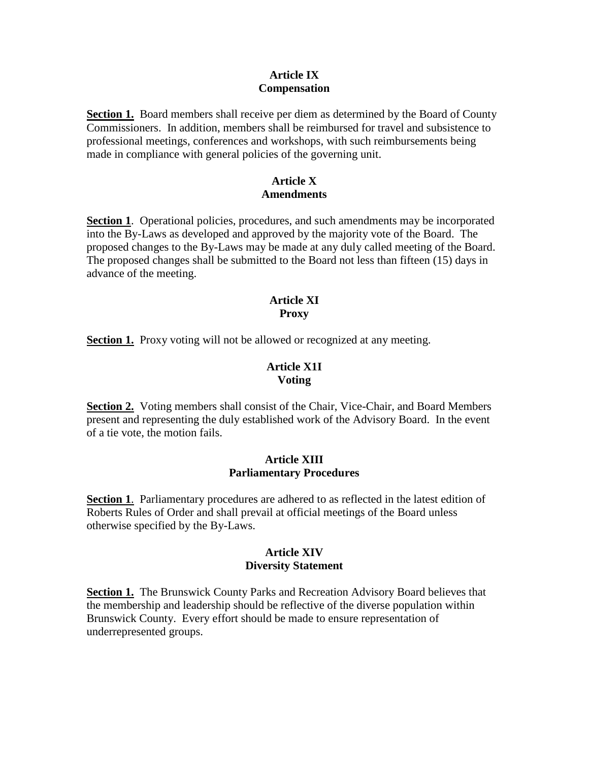#### **Article IX Compensation**

**Section 1.** Board members shall receive per diem as determined by the Board of County Commissioners. In addition, members shall be reimbursed for travel and subsistence to professional meetings, conferences and workshops, with such reimbursements being made in compliance with general policies of the governing unit.

## **Article X Amendments**

**Section 1**. Operational policies, procedures, and such amendments may be incorporated into the By-Laws as developed and approved by the majority vote of the Board. The proposed changes to the By-Laws may be made at any duly called meeting of the Board. The proposed changes shall be submitted to the Board not less than fifteen (15) days in advance of the meeting.

#### **Article XI Proxy**

**Section 1.** Proxy voting will not be allowed or recognized at any meeting.

## **Article X1I Voting**

**Section 2.** Voting members shall consist of the Chair, Vice-Chair, and Board Members present and representing the duly established work of the Advisory Board. In the event of a tie vote, the motion fails.

## **Article XIII Parliamentary Procedures**

**Section 1**. Parliamentary procedures are adhered to as reflected in the latest edition of Roberts Rules of Order and shall prevail at official meetings of the Board unless otherwise specified by the By-Laws.

#### **Article XIV Diversity Statement**

**Section 1.** The Brunswick County Parks and Recreation Advisory Board believes that the membership and leadership should be reflective of the diverse population within Brunswick County. Every effort should be made to ensure representation of underrepresented groups.